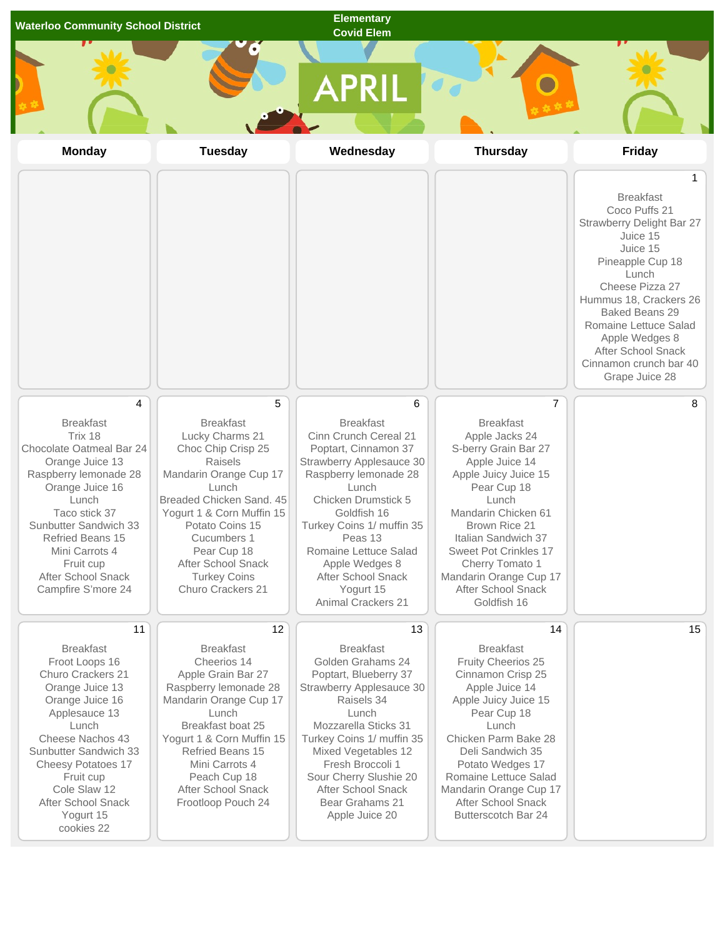